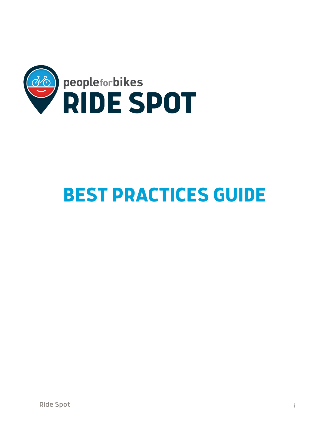

# **BEST PRACTICES GUIDE**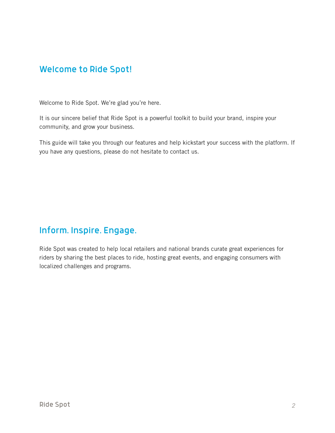# Welcome to Ride Spot!

Welcome to Ride Spot. We're glad you're here.

It is our sincere belief that Ride Spot is a powerful toolkit to build your brand, inspire your community, and grow your business.

This guide will take you through our features and help kickstart your success with the platform. If you have any questions, please do not hesitate to contact us.

# Inform. Inspire. Engage.

Ride Spot was created to help local retailers and national brands curate great experiences for riders by sharing the best places to ride, hosting great events, and engaging consumers with localized challenges and programs.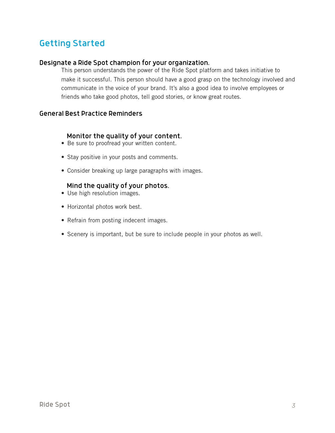# Getting Started

#### Designate a Ride Spot champion for your organization.

This person understands the power of the Ride Spot platform and takes initiative to make it successful. This person should have a good grasp on the technology involved and communicate in the voice of your brand. It's also a good idea to involve employees or friends who take good photos, tell good stories, or know great routes.

#### General Best Practice Reminders

#### Monitor the quality of your content.

- Be sure to proofread your written content.
- Stay positive in your posts and comments.
- Consider breaking up large paragraphs with images.

#### Mind the quality of your photos.

- Use high resolution images.
- Horizontal photos work best.
- Refrain from posting indecent images.
- Scenery is important, but be sure to include people in your photos as well.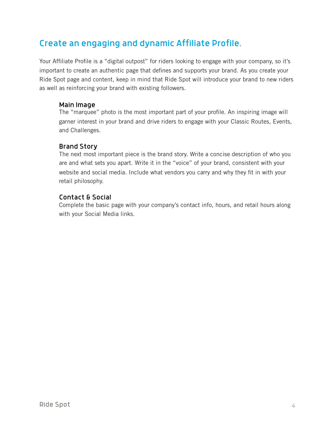# Create an engaging and dynamic Affiliate Profile.

Your Affiliate Profile is a "digital outpost" for riders looking to engage with your company, so it's important to create an authentic page that defines and supports your brand. As you create your Ride Spot page and content, keep in mind that Ride Spot will introduce your brand to new riders as well as reinforcing your brand with existing followers.

#### Main Image

The "marquee" photo is the most important part of your profile. An inspiring image will garner interest in your brand and drive riders to engage with your Classic Routes, Events, and Challenges.

## Brand Story

The next most important piece is the brand story. Write a concise description of who you are and what sets you apart. Write it in the "voice" of your brand, consistent with your website and social media. Include what vendors you carry and why they fit in with your retail philosophy.

## Contact & Social

Complete the basic page with your company's contact info, hours, and retail hours along with your Social Media links.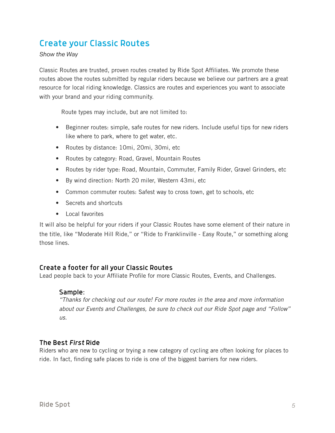# Create your Classic Routes

*Show the Way* 

Classic Routes are trusted, proven routes created by Ride Spot Affiliates. We promote these routes above the routes submitted by regular riders because we believe our partners are a great resource for local riding knowledge. Classics are routes and experiences you want to associate with your brand and your riding community.

Route types may include, but are not limited to:

- Beginner routes: simple, safe routes for new riders. Include useful tips for new riders like where to park, where to get water, etc.
- Routes by distance: 10mi, 20mi, 30mi, etc
- Routes by category: Road, Gravel, Mountain Routes
- Routes by rider type: Road, Mountain, Commuter, Family Rider, Gravel Grinders, etc
- By wind direction: North 20 miler, Western 43mi, etc
- Common commuter routes: Safest way to cross town, get to schools, etc
- Secrets and shortcuts
- Local favorites

It will also be helpful for your riders if your Classic Routes have some element of their nature in the title, like "Moderate Hill Ride," or "Ride to Franklinville - Easy Route," or something along those lines.

#### Create a footer for all your Classic Routes

Lead people back to your Affiliate Profile for more Classic Routes, Events, and Challenges.

#### Sample:

*"Thanks for checking out our route! For more routes in the area and more information about our Events and Challenges, be sure to check out our Ride Spot page and "Follow"*   $\overline{U}$ *us.* 

#### The Best *First* Ride

Riders who are new to cycling or trying a new category of cycling are often looking for places to ride. In fact, finding safe places to ride is one of the biggest barriers for new riders.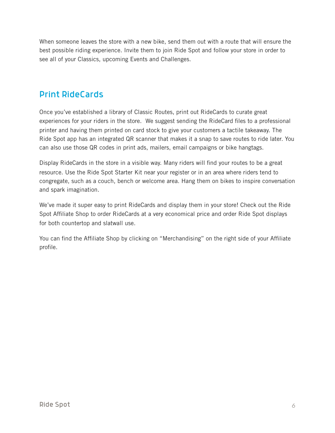When someone leaves the store with a new bike, send them out with a route that will ensure the best possible riding experience. Invite them to join Ride Spot and follow your store in order to see all of your Classics, upcoming Events and Challenges.

# Print RideCards

Once you've established a library of Classic Routes, print out RideCards to curate great experiences for your riders in the store. We suggest sending the RideCard files to a professional printer and having them printed on card stock to give your customers a tactile takeaway. The Ride Spot app has an integrated QR scanner that makes it a snap to save routes to ride later. You can also use those QR codes in print ads, mailers, email campaigns or bike hangtags.

Display RideCards in the store in a visible way. Many riders will find your routes to be a great resource. Use the Ride Spot Starter Kit near your register or in an area where riders tend to congregate, such as a couch, bench or welcome area. Hang them on bikes to inspire conversation and spark imagination.

We've made it super easy to print RideCards and display them in your store! Check out the Ride Spot Affiliate Shop to order RideCards at a very economical price and order Ride Spot displays for both countertop and slatwall use.

You can find the Affiliate Shop by clicking on "Merchandising" on the right side of your Affiliate profile.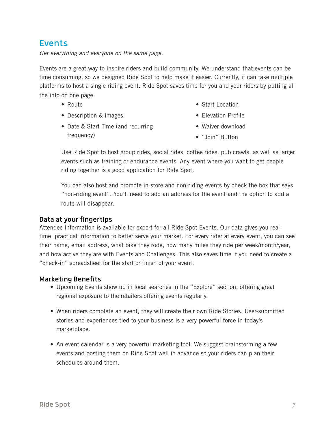# Events

*Get everything and everyone on the same page.* 

Events are a great way to inspire riders and build community. We understand that events can be time consuming, so we designed Ride Spot to help make it easier. Currently, it can take multiple platforms to host a single riding event. Ride Spot saves time for you and your riders by putting all the info on one page:

- Route
- Description & images.

• Start Location

- Elevation Profile • Waiver download
- Date & Start Time (and recurring frequency)
- 
- "Join" Button

Use Ride Spot to host group rides, social rides, coffee rides, pub crawls, as well as larger events such as training or endurance events. Any event where you want to get people riding together is a good application for Ride Spot.

You can also host and promote in-store and non-riding events by check the box that says "non-riding event". You'll need to add an address for the event and the option to add a route will disappear.

# Data at your fingertips

Attendee information is available for export for all Ride Spot Events. Our data gives you realtime, practical information to better serve your market. For every rider at every event, you can see their name, email address, what bike they rode, how many miles they ride per week/month/year, and how active they are with Events and Challenges. This also saves time if you need to create a "check-in" spreadsheet for the start or finish of your event.

## Marketing Benefits

- Upcoming Events show up in local searches in the "Explore" section, offering great regional exposure to the retailers offering events regularly.
- When riders complete an event, they will create their own Ride Stories. User-submitted stories and experiences tied to your business is a very powerful force in today's marketplace.
- An event calendar is a very powerful marketing tool. We suggest brainstorming a few events and posting them on Ride Spot well in advance so your riders can plan their schedules around them.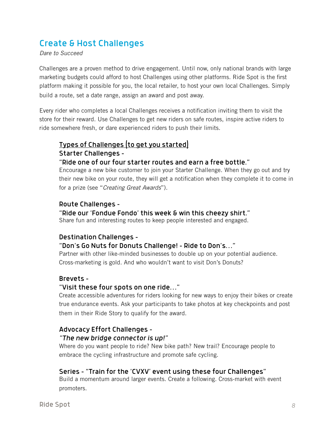# Create & Host Challenges

#### *Dare to Succeed*

Challenges are a proven method to drive engagement. Until now, only national brands with large marketing budgets could afford to host Challenges using other platforms. Ride Spot is the first platform making it possible for you, the local retailer, to host your own local Challenges. Simply build a route, set a date range, assign an award and post away.

Every rider who completes a local Challenges receives a notification inviting them to visit the store for their reward. Use Challenges to get new riders on safe routes, inspire active riders to ride somewhere fresh, or dare experienced riders to push their limits.

## Types of Challenges (to get you started) Starter Challenges - "Ride one of our four starter routes and earn a free bottle."

Encourage a new bike customer to join your Starter Challenge. When they go out and try their new bike on your route, they will get a notification when they complete it to come in for a prize (see "*Creating Great Awards*").

## Route Challenges -

## "Ride our 'Fondue Fondo' this week & win this cheezy shirt."

Share fun and interesting routes to keep people interested and engaged.

## Destination Challenges -

## "Don's Go Nuts for Donuts Challenge! - Ride to Don's…"

Partner with other like-minded businesses to double up on your potential audience. Cross-marketing is gold. And who wouldn't want to visit Don's Donuts?

## Brevets -

## "Visit these four spots on one ride…"

Create accessible adventures for riders looking for new ways to enjoy their bikes or create true endurance events. Ask your participants to take photos at key checkpoints and post them in their Ride Story to qualify for the award.

# Advocacy Effort Challenges -

#### *"The new bridge connector is up!"*

Where do you want people to ride? New bike path? New trail? Encourage people to embrace the cycling infrastructure and promote safe cycling.

## Series - "Train for the 'CVXV' event using these four Challenges"

Build a momentum around larger events. Create a following. Cross-market with event promoters.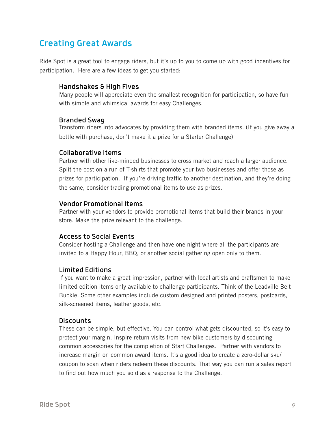# Creating Great Awards

Ride Spot is a great tool to engage riders, but it's up to you to come up with good incentives for participation. Here are a few ideas to get you started:

#### Handshakes & High Fives

Many people will appreciate even the smallest recognition for participation, so have fun with simple and whimsical awards for easy Challenges.

#### Branded Swag

Transform riders into advocates by providing them with branded items. (If you give away a bottle with purchase, don't make it a prize for a Starter Challenge)

#### Collaborative Items

Partner with other like-minded businesses to cross market and reach a larger audience. Split the cost on a run of T-shirts that promote your two businesses and offer those as prizes for participation. If you're driving traffic to another destination, and they're doing the same, consider trading promotional items to use as prizes.

#### Vendor Promotional Items

Partner with your vendors to provide promotional items that build their brands in your store. Make the prize relevant to the challenge.

## Access to Social Events

Consider hosting a Challenge and then have one night where all the participants are invited to a Happy Hour, BBQ, or another social gathering open only to them.

## Limited Editions

If you want to make a great impression, partner with local artists and craftsmen to make limited edition items only available to challenge participants. Think of the Leadville Belt Buckle. Some other examples include custom designed and printed posters, postcards, silk-screened items, leather goods, etc.

## Discounts

These can be simple, but effective. You can control what gets discounted, so it's easy to protect your margin. Inspire return visits from new bike customers by discounting common accessories for the completion of Start Challenges. Partner with vendors to increase margin on common award items. It's a good idea to create a zero-dollar sku/ coupon to scan when riders redeem these discounts. That way you can run a sales report to find out how much you sold as a response to the Challenge.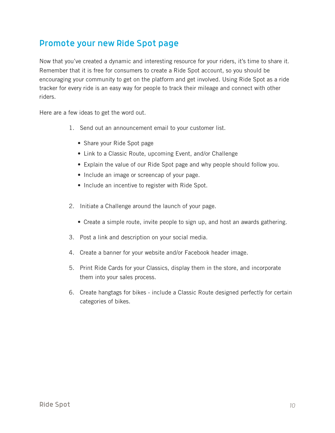# Promote your new Ride Spot page

Now that you've created a dynamic and interesting resource for your riders, it's time to share it. Remember that it is free for consumers to create a Ride Spot account, so you should be encouraging your community to get on the platform and get involved. Using Ride Spot as a ride tracker for every ride is an easy way for people to track their mileage and connect with other riders.

Here are a few ideas to get the word out.

- 1. Send out an announcement email to your customer list.
	- Share your Ride Spot page
	- Link to a Classic Route, upcoming Event, and/or Challenge
	- Explain the value of our Ride Spot page and why people should follow you.
	- Include an image or screencap of your page.
	- Include an incentive to register with Ride Spot.
- 2. Initiate a Challenge around the launch of your page.
	- Create a simple route, invite people to sign up, and host an awards gathering.
- 3. Post a link and description on your social media.
- 4. Create a banner for your website and/or Facebook header image.
- 5. Print Ride Cards for your Classics, display them in the store, and incorporate them into your sales process.
- 6. Create hangtags for bikes include a Classic Route designed perfectly for certain categories of bikes.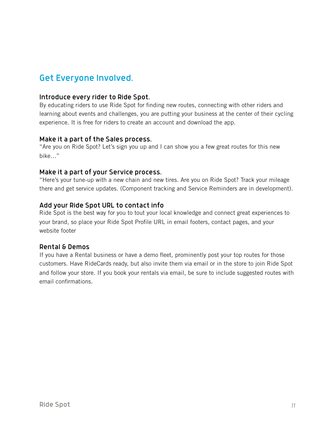# Get Everyone Involved.

#### Introduce every rider to Ride Spot.

By educating riders to use Ride Spot for finding new routes, connecting with other riders and learning about events and challenges, you are putting your business at the center of their cycling experience. It is free for riders to create an account and download the app.

#### Make it a part of the Sales process.

"Are you on Ride Spot? Let's sign you up and I can show you a few great routes for this new bike…"

#### Make it a part of your Service process.

"Here's your tune-up with a new chain and new tires. Are you on Ride Spot? Track your mileage there and get service updates. (Component tracking and Service Reminders are in development).

#### Add your Ride Spot URL to contact info

Ride Spot is the best way for you to tout your local knowledge and connect great experiences to your brand, so place your Ride Spot Profile URL in email footers, contact pages, and your website footer

## Rental & Demos

If you have a Rental business or have a demo fleet, prominently post your top routes for those customers. Have RideCards ready, but also invite them via email or in the store to join Ride Spot and follow your store. If you book your rentals via email, be sure to include suggested routes with email confirmations.